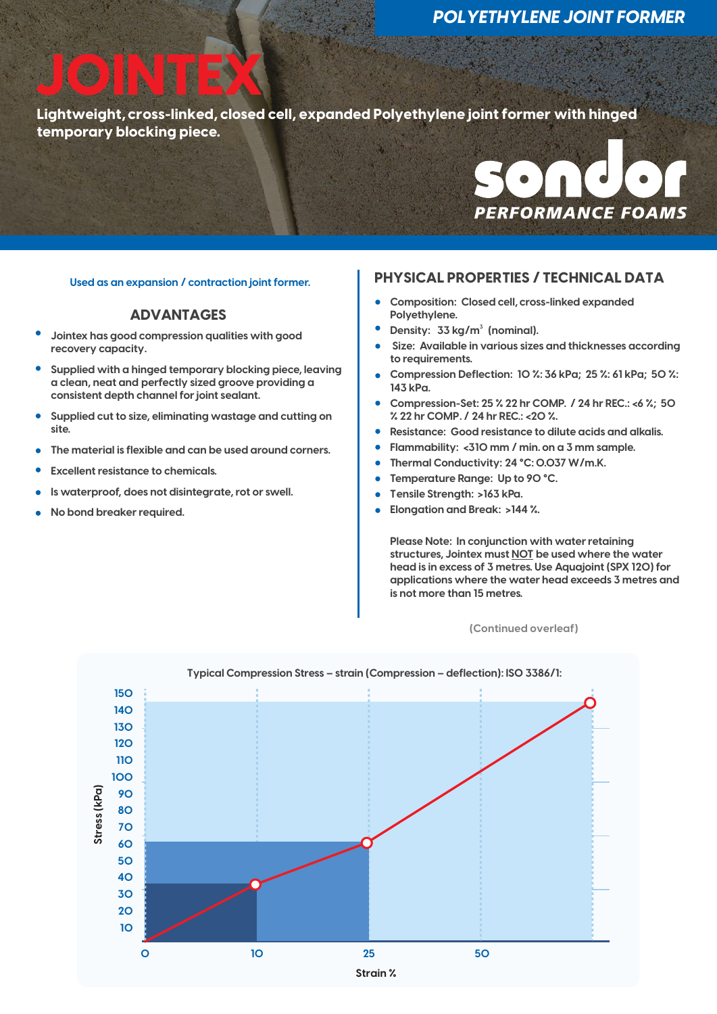**Lightweight, cross-linked, closed cell, expanded Polyethylene joint former with hinged temporary blocking piece. JOINTEX**



### **ADVANTAGES**

- **Jointex has good compression qualities with good recovery capacity.**
- **Supplied with a hinged temporary blocking piece, leaving a clean, neat and perfectly sized groove providing a consistent depth channel for joint sealant.**
- **Supplied cut to size, eliminating wastage and cutting on site.**
- **The material is flexible and can be used around corners.**
- **Excellent resistance to chemicals.**
- **Is waterproof, does not disintegrate, rot or swell.**
- **No bond breaker required.**

## **PHYSICAL PROPERTIES / TECHNICAL DATA Used as an expansion / contraction joint former.**

- **Composition: Closed cell, cross-linked expanded**   $\bullet$ **Polyethylene.**
- **Density: <sup>3</sup> 33 kg/m (nominal).**
- Size: Available in various sizes and thicknesses according **to requirements.**
- **Compression Deflection: 10 %: 36 kPa; 25 %: 61 kPa; 50 %: 143 kPa.**
- **Compression-Set: 25 % 22 hr COMP. / 24 hr REC.: <6 %; 50 % 22 hr COMP. / 24 hr REC.: <20 %.**
- **Resistance: Good resistance to dilute acids and alkalis.**
- **Flammability: <310 mm / min. on a 3 mm sample.**
- **Thermal Conductivity: 24 °C: 0.037 W/m.K.**
- **Temperature Range: Up to 90 °C.**
- **Tensile Strength: >163 kPa.**
- **Elongation and Break: >144 %.**

**Please Note: In conjunction with water retaining structures, Jointex must NOT be used where the water head is in excess of 3 metres. Use Aquajoint (SPX 120) for applications where the water head exceeds 3 metres and is not more than 15 metres.**